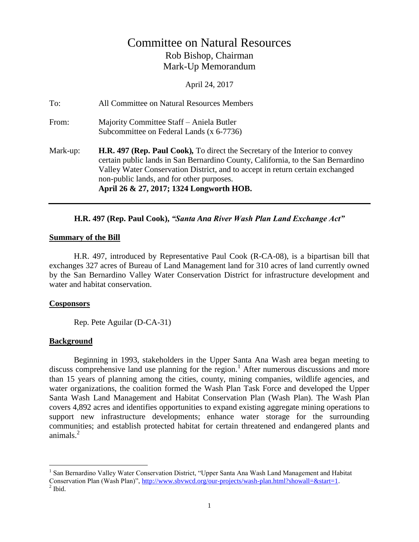# Committee on Natural Resources Rob Bishop, Chairman Mark-Up Memorandum

April 24, 2017

To: All Committee on Natural Resources Members From: Majority Committee Staff – Aniela Butler Subcommittee on Federal Lands (x 6-7736) Mark-up: **H.R. 497 (Rep. Paul Cook)***,* To direct the Secretary of the Interior to convey certain public lands in San Bernardino County, California, to the San Bernardino Valley Water Conservation District, and to accept in return certain exchanged non-public lands, and for other purposes. **April 26 & 27, 2017; 1324 Longworth HOB.** 

### **H.R. 497 (Rep. Paul Cook),** *"Santa Ana River Wash Plan Land Exchange Act"*

#### **Summary of the Bill**

H.R. 497, introduced by Representative Paul Cook (R-CA-08), is a bipartisan bill that exchanges 327 acres of Bureau of Land Management land for 310 acres of land currently owned by the San Bernardino Valley Water Conservation District for infrastructure development and water and habitat conservation.

### **Cosponsors**

Rep. Pete Aguilar (D-CA-31)

### **Background**

Beginning in 1993, stakeholders in the Upper Santa Ana Wash area began meeting to discuss comprehensive land use planning for the region.<sup>1</sup> After numerous discussions and more than 15 years of planning among the cities, county, mining companies, wildlife agencies, and water organizations, the coalition formed the Wash Plan Task Force and developed the Upper Santa Wash Land Management and Habitat Conservation Plan (Wash Plan). The Wash Plan covers 4,892 acres and identifies opportunities to expand existing aggregate mining operations to support new infrastructure developments; enhance water storage for the surrounding communities; and establish protected habitat for certain threatened and endangered plants and animals. $2$ 

 $\overline{a}$ 

<sup>&</sup>lt;sup>1</sup> San Bernardino Valley Water Conservation District, "Upper Santa Ana Wash Land Management and Habitat Conservation Plan (Wash Plan)", http://www.sbvwcd.org/our-projects/wash-plan.html?showall=&start=1.

 $<sup>2</sup>$  Ibid.</sup>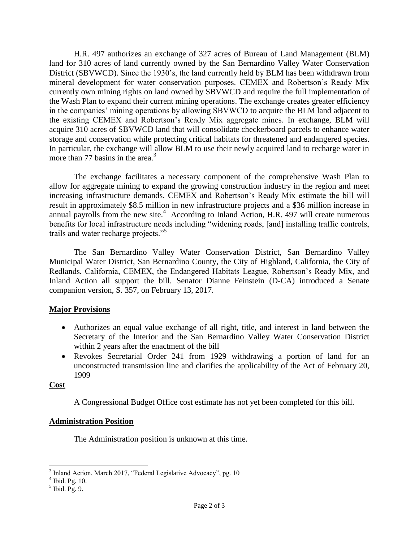H.R. 497 authorizes an exchange of 327 acres of Bureau of Land Management (BLM) land for 310 acres of land currently owned by the San Bernardino Valley Water Conservation District (SBVWCD). Since the 1930's, the land currently held by BLM has been withdrawn from mineral development for water conservation purposes. CEMEX and Robertson's Ready Mix currently own mining rights on land owned by SBVWCD and require the full implementation of the Wash Plan to expand their current mining operations. The exchange creates greater efficiency in the companies' mining operations by allowing SBVWCD to acquire the BLM land adjacent to the existing CEMEX and Robertson's Ready Mix aggregate mines. In exchange, BLM will acquire 310 acres of SBVWCD land that will consolidate checkerboard parcels to enhance water storage and conservation while protecting critical habitats for threatened and endangered species. In particular, the exchange will allow BLM to use their newly acquired land to recharge water in more than 77 basins in the area.<sup>3</sup>

The exchange facilitates a necessary component of the comprehensive Wash Plan to allow for aggregate mining to expand the growing construction industry in the region and meet increasing infrastructure demands. CEMEX and Robertson's Ready Mix estimate the bill will result in approximately \$8.5 million in new infrastructure projects and a \$36 million increase in annual payrolls from the new site.<sup>4</sup> According to Inland Action, H.R. 497 will create numerous benefits for local infrastructure needs including "widening roads, [and] installing traffic controls, trails and water recharge projects."<sup>5</sup>

The San Bernardino Valley Water Conservation District, San Bernardino Valley Municipal Water District, San Bernardino County, the City of Highland, California, the City of Redlands, California, CEMEX, the Endangered Habitats League, Robertson's Ready Mix, and Inland Action all support the bill. Senator Dianne Feinstein (D-CA) introduced a Senate companion version, S. 357, on February 13, 2017.

## **Major Provisions**

- Authorizes an equal value exchange of all right, title, and interest in land between the Secretary of the Interior and the San Bernardino Valley Water Conservation District within 2 years after the enactment of the bill
- Revokes Secretarial Order 241 from 1929 withdrawing a portion of land for an unconstructed transmission line and clarifies the applicability of the Act of February 20, 1909

### **Cost**

A Congressional Budget Office cost estimate has not yet been completed for this bill.

## **Administration Position**

The Administration position is unknown at this time.

<sup>&</sup>lt;sup>3</sup> Inland Action, March 2017, "Federal Legislative Advocacy", pg. 10<sup>4</sup> Ibid. Pg. 10.

 $<sup>5</sup>$  Ibid. Pg. 9.</sup>